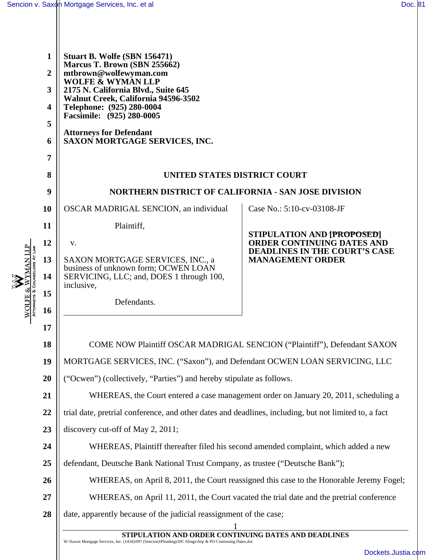WOLFE & WYMAN LLP **& WYMAN LLP** Attorneys & Counselors At Law

| 1<br>$\overline{2}$<br>3<br>$\overline{\mathbf{4}}$<br>5<br>6<br>$\overline{7}$ | Stuart B. Wolfe (SBN 156471)<br>Marcus T. Brown (SBN 255662)<br>mtbrown@wolfewyman.com<br><b>WOLFE &amp; WYMAN LLP</b><br>2175 N. California Blvd., Suite 645<br>Walnut Creek, California 94596-3502<br>Telephone: (925) 280-0004<br>Facsimile: (925) 280-0005<br><b>Attorneys for Defendant</b><br>SAXON MORTGAGE SERVICES, INC. |                            |  |  |  |
|---------------------------------------------------------------------------------|-----------------------------------------------------------------------------------------------------------------------------------------------------------------------------------------------------------------------------------------------------------------------------------------------------------------------------------|----------------------------|--|--|--|
| 8                                                                               | UNITED STATES DISTRICT COURT                                                                                                                                                                                                                                                                                                      |                            |  |  |  |
| 9                                                                               | <b>NORTHERN DISTRICT OF CALIFORNIA - SAN JOSE DIVISION</b>                                                                                                                                                                                                                                                                        |                            |  |  |  |
| 10                                                                              | <b>OSCAR MADRIGAL SENCION, an individual</b>                                                                                                                                                                                                                                                                                      | Case No.: 5:10-cv-03108-JF |  |  |  |
| 11                                                                              | Plaintiff,                                                                                                                                                                                                                                                                                                                        | STIPULATION AND [PROPOSED] |  |  |  |
| 12                                                                              | <b>ORDER CONTINUING DATES AND</b><br>V.<br><b>DEADLINES IN THE COURT'S CASE</b>                                                                                                                                                                                                                                                   |                            |  |  |  |
| 13                                                                              | SAXON MORTGAGE SERVICES, INC., a<br>business of unknown form; OCWEN LOAN                                                                                                                                                                                                                                                          | <b>MANAGEMENT ORDER</b>    |  |  |  |
| 14                                                                              | SERVICING, LLC; and, DOES 1 through 100,<br>inclusive,                                                                                                                                                                                                                                                                            |                            |  |  |  |
| 15                                                                              | Defendants.                                                                                                                                                                                                                                                                                                                       |                            |  |  |  |
| 16                                                                              |                                                                                                                                                                                                                                                                                                                                   |                            |  |  |  |
| 17                                                                              |                                                                                                                                                                                                                                                                                                                                   |                            |  |  |  |
| 18                                                                              | COME NOW Plaintiff OSCAR MADRIGAL SENCION ("Plaintiff"), Defendant SAXON                                                                                                                                                                                                                                                          |                            |  |  |  |
| 19                                                                              | MORTGAGE SERVICES, INC. ("Saxon"), and Defendant OCWEN LOAN SERVICING, LLC                                                                                                                                                                                                                                                        |                            |  |  |  |
| 20                                                                              | ("Ocwen") (collectively, "Parties") and hereby stipulate as follows.                                                                                                                                                                                                                                                              |                            |  |  |  |
| 21                                                                              | WHEREAS, the Court entered a case management order on January 20, 2011, scheduling a                                                                                                                                                                                                                                              |                            |  |  |  |
| 22                                                                              | trial date, pretrial conference, and other dates and deadlines, including, but not limited to, a fact                                                                                                                                                                                                                             |                            |  |  |  |
| 23                                                                              | discovery cut-off of May 2, 2011;                                                                                                                                                                                                                                                                                                 |                            |  |  |  |
| 24                                                                              | WHEREAS, Plaintiff thereafter filed his second amended complaint, which added a new                                                                                                                                                                                                                                               |                            |  |  |  |
| 25                                                                              | defendant, Deutsche Bank National Trust Company, as trustee ("Deutsche Bank");                                                                                                                                                                                                                                                    |                            |  |  |  |
| 26                                                                              | WHEREAS, on April 8, 2011, the Court reassigned this case to the Honorable Jeremy Fogel;                                                                                                                                                                                                                                          |                            |  |  |  |
| 27                                                                              | WHEREAS, on April 11, 2011, the Court vacated the trial date and the pretrial conference                                                                                                                                                                                                                                          |                            |  |  |  |
| 28                                                                              | date, apparently because of the judicial reassignment of the case;                                                                                                                                                                                                                                                                |                            |  |  |  |
|                                                                                 | STIPULATION AND ORDER CONTINUING DATES AND DEADLINES                                                                                                                                                                                                                                                                              |                            |  |  |  |

W:\Saxon Mortgage Services, Inc. (1434)\097 (Sencion)\Pleadings\DC filings\Stip & PO Continuing Dates.doc

[Dockets.Justia.com](http://dockets.justia.com/)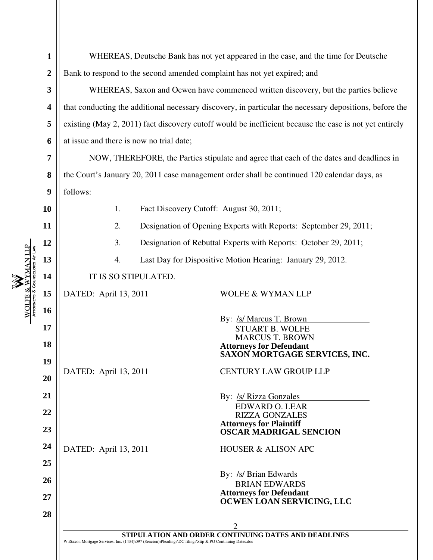|                        | 1                | WHEREAS, Deutsche Bank has not yet appeared in the case, and the time for Deutsche                      |                                                                                                           |                                                                 |  |  |
|------------------------|------------------|---------------------------------------------------------------------------------------------------------|-----------------------------------------------------------------------------------------------------------|-----------------------------------------------------------------|--|--|
|                        | $\boldsymbol{2}$ | Bank to respond to the second amended complaint has not yet expired; and                                |                                                                                                           |                                                                 |  |  |
|                        | $\mathbf{3}$     | WHEREAS, Saxon and Ocwen have commenced written discovery, but the parties believe                      |                                                                                                           |                                                                 |  |  |
|                        | 4                | that conducting the additional necessary discovery, in particular the necessary depositions, before the |                                                                                                           |                                                                 |  |  |
|                        | 5                | existing (May 2, 2011) fact discovery cutoff would be inefficient because the case is not yet entirely  |                                                                                                           |                                                                 |  |  |
|                        | 6                | at issue and there is now no trial date;                                                                |                                                                                                           |                                                                 |  |  |
|                        | 7                | NOW, THEREFORE, the Parties stipulate and agree that each of the dates and deadlines in                 |                                                                                                           |                                                                 |  |  |
|                        | 8                | the Court's January 20, 2011 case management order shall be continued 120 calendar days, as             |                                                                                                           |                                                                 |  |  |
|                        | 9                | follows:                                                                                                |                                                                                                           |                                                                 |  |  |
|                        | 10               | 1.                                                                                                      | Fact Discovery Cutoff: August 30, 2011;                                                                   |                                                                 |  |  |
|                        | 11               | 2.<br>Designation of Opening Experts with Reports: September 29, 2011;                                  |                                                                                                           |                                                                 |  |  |
|                        | 12               | 3.                                                                                                      |                                                                                                           | Designation of Rebuttal Experts with Reports: October 29, 2011; |  |  |
| <b>YMAN LLP</b>        | 13               | Last Day for Dispositive Motion Hearing: January 29, 2012.<br>4.                                        |                                                                                                           |                                                                 |  |  |
|                        | 14               |                                                                                                         | IT IS SO STIPULATED.                                                                                      |                                                                 |  |  |
| <b>WOLFE &amp; WYM</b> | 15               | DATED: April 13, 2011                                                                                   |                                                                                                           | WOLFE & WYMAN LLP                                               |  |  |
|                        | 16               |                                                                                                         |                                                                                                           |                                                                 |  |  |
|                        | 17               |                                                                                                         |                                                                                                           | By: /s/ Marcus T. Brown<br><b>STUART B. WOLFE</b>               |  |  |
|                        | 18               |                                                                                                         |                                                                                                           | <b>MARCUS T. BROWN</b>                                          |  |  |
|                        | 19               |                                                                                                         |                                                                                                           | <b>Attorneys for Defendant</b><br>SAXON MORTGAGE SERVICES, INC. |  |  |
|                        | 20               | DATED: April 13, 2011                                                                                   |                                                                                                           | <b>CENTURY LAW GROUP LLP</b>                                    |  |  |
|                        | 21               |                                                                                                         |                                                                                                           |                                                                 |  |  |
|                        |                  |                                                                                                         |                                                                                                           | By: /s/ Rizza Gonzales<br><b>EDWARD O. LEAR</b>                 |  |  |
|                        | 22               |                                                                                                         |                                                                                                           | <b>RIZZA GONZALES</b><br><b>Attorneys for Plaintiff</b>         |  |  |
|                        | 23               |                                                                                                         |                                                                                                           | <b>OSCAR MADRIGAL SENCION</b>                                   |  |  |
|                        | 24               | DATED: April 13, 2011                                                                                   |                                                                                                           | <b>HOUSER &amp; ALISON APC</b>                                  |  |  |
|                        | 25               |                                                                                                         |                                                                                                           | By: /s/ Brian Edwards                                           |  |  |
|                        | 26               |                                                                                                         |                                                                                                           | <b>BRIAN EDWARDS</b>                                            |  |  |
|                        | 27               |                                                                                                         |                                                                                                           | <b>Attorneys for Defendant</b><br>OCWEN LOAN SERVICING, LLC     |  |  |
|                        | 28               |                                                                                                         |                                                                                                           |                                                                 |  |  |
|                        |                  |                                                                                                         |                                                                                                           | 2<br>STIPULATION AND ORDER CONTINUING DATES AND DEADLINES       |  |  |
|                        |                  |                                                                                                         | W:\Saxon Mortgage Services, Inc. (1434)\097 (Sencion)\Pleadings\DC filings\Stip & PO Continuing Dates.doc |                                                                 |  |  |
|                        |                  |                                                                                                         |                                                                                                           |                                                                 |  |  |